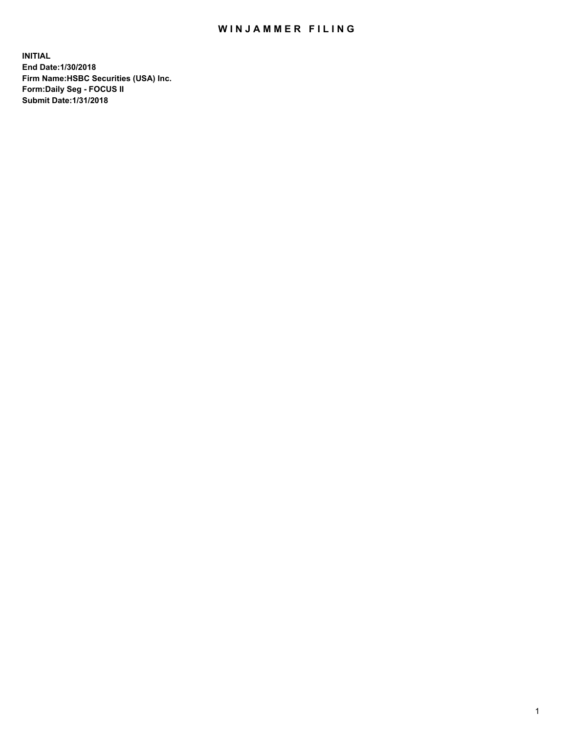## WIN JAMMER FILING

**INITIAL End Date:1/30/2018 Firm Name:HSBC Securities (USA) Inc. Form:Daily Seg - FOCUS II Submit Date:1/31/2018**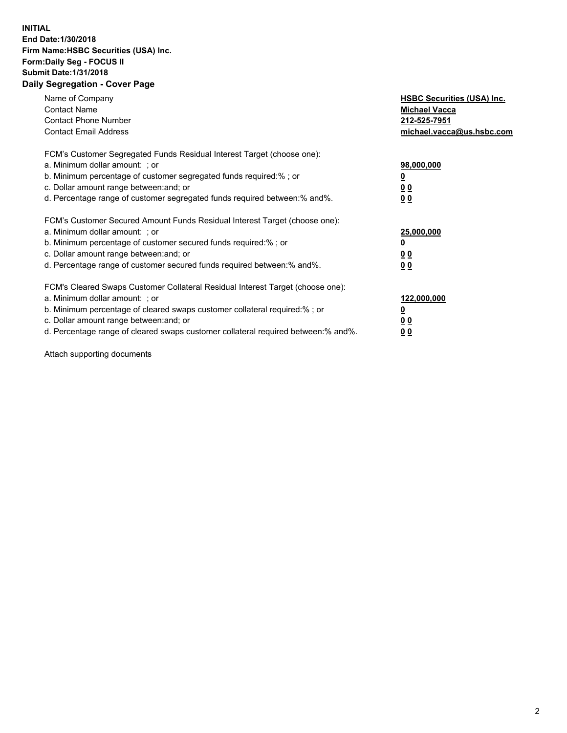## **INITIAL End Date:1/30/2018 Firm Name:HSBC Securities (USA) Inc. Form:Daily Seg - FOCUS II Submit Date:1/31/2018 Daily Segregation - Cover Page**

| Name of Company<br><b>Contact Name</b><br><b>Contact Phone Number</b><br><b>Contact Email Address</b>                                                                                                                                                                                                                         | <b>HSBC Securities (USA) Inc.</b><br><b>Michael Vacca</b><br>212-525-7951<br>michael.vacca@us.hsbc.com |
|-------------------------------------------------------------------------------------------------------------------------------------------------------------------------------------------------------------------------------------------------------------------------------------------------------------------------------|--------------------------------------------------------------------------------------------------------|
| FCM's Customer Segregated Funds Residual Interest Target (choose one):<br>a. Minimum dollar amount: ; or<br>b. Minimum percentage of customer segregated funds required:%; or<br>c. Dollar amount range between: and; or<br>d. Percentage range of customer segregated funds required between: % and %.                       | 98,000,000<br><u>0</u><br><u>00</u><br><u>00</u>                                                       |
| FCM's Customer Secured Amount Funds Residual Interest Target (choose one):<br>a. Minimum dollar amount: ; or<br>b. Minimum percentage of customer secured funds required:%; or<br>c. Dollar amount range between: and; or<br>d. Percentage range of customer secured funds required between: % and %.                         | 25,000,000<br><u>0</u><br><u>00</u><br>00                                                              |
| FCM's Cleared Swaps Customer Collateral Residual Interest Target (choose one):<br>a. Minimum dollar amount: ; or<br>b. Minimum percentage of cleared swaps customer collateral required:%; or<br>c. Dollar amount range between: and; or<br>d. Percentage range of cleared swaps customer collateral required between:% and%. | 122,000,000<br><u>0</u><br><u>00</u><br><u>00</u>                                                      |

Attach supporting documents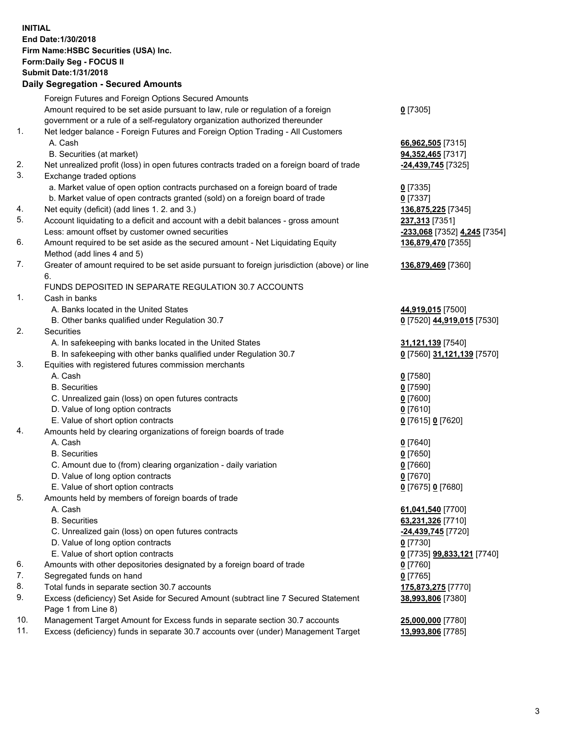**INITIAL End Date:1/30/2018 Firm Name:HSBC Securities (USA) Inc. Form:Daily Seg - FOCUS II Submit Date:1/31/2018 Daily Segregation - Secured Amounts** Foreign Futures and Foreign Options Secured Amounts Amount required to be set aside pursuant to law, rule or regulation of a foreign government or a rule of a self-regulatory organization authorized thereunder **0** [7305] 1. Net ledger balance - Foreign Futures and Foreign Option Trading - All Customers A. Cash **66,962,505** [7315] B. Securities (at market) **94,352,465** [7317] 2. Net unrealized profit (loss) in open futures contracts traded on a foreign board of trade **-24,439,745** [7325] 3. Exchange traded options a. Market value of open option contracts purchased on a foreign board of trade **0** [7335] b. Market value of open contracts granted (sold) on a foreign board of trade **0** [7337] 4. Net equity (deficit) (add lines 1. 2. and 3.) **136,875,225** [7345] 5. Account liquidating to a deficit and account with a debit balances - gross amount **237,313** [7351] Less: amount offset by customer owned securities **-233,068** [7352] **4,245** [7354] 6. Amount required to be set aside as the secured amount - Net Liquidating Equity Method (add lines 4 and 5) **136,879,470** [7355] 7. Greater of amount required to be set aside pursuant to foreign jurisdiction (above) or line 6. **136,879,469** [7360] FUNDS DEPOSITED IN SEPARATE REGULATION 30.7 ACCOUNTS 1. Cash in banks A. Banks located in the United States **44,919,015** [7500] B. Other banks qualified under Regulation 30.7 **0** [7520] **44,919,015** [7530] 2. Securities A. In safekeeping with banks located in the United States **31,121,139** [7540] B. In safekeeping with other banks qualified under Regulation 30.7 **0** [7560] **31,121,139** [7570] 3. Equities with registered futures commission merchants A. Cash **0** [7580] B. Securities **0** [7590] C. Unrealized gain (loss) on open futures contracts **0** [7600] D. Value of long option contracts **0** [7610] E. Value of short option contracts **0** [7615] **0** [7620] 4. Amounts held by clearing organizations of foreign boards of trade A. Cash **0** [7640] B. Securities **0** [7650] C. Amount due to (from) clearing organization - daily variation **0** [7660] D. Value of long option contracts **0** [7670] E. Value of short option contracts **0** [7675] **0** [7680] 5. Amounts held by members of foreign boards of trade A. Cash **61,041,540** [7700] B. Securities **63,231,326** [7710] C. Unrealized gain (loss) on open futures contracts **-24,439,745** [7720] D. Value of long option contracts **0** [7730] E. Value of short option contracts **0** [7735] **99,833,121** [7740] 6. Amounts with other depositories designated by a foreign board of trade **0** [7760] 7. Segregated funds on hand **0** [7765] 8. Total funds in separate section 30.7 accounts **175,873,275** [7770]

- 9. Excess (deficiency) Set Aside for Secured Amount (subtract line 7 Secured Statement Page 1 from Line 8)
- 10. Management Target Amount for Excess funds in separate section 30.7 accounts **25,000,000** [7780]

11. Excess (deficiency) funds in separate 30.7 accounts over (under) Management Target **13,993,806** [7785]

**38,993,806** [7380]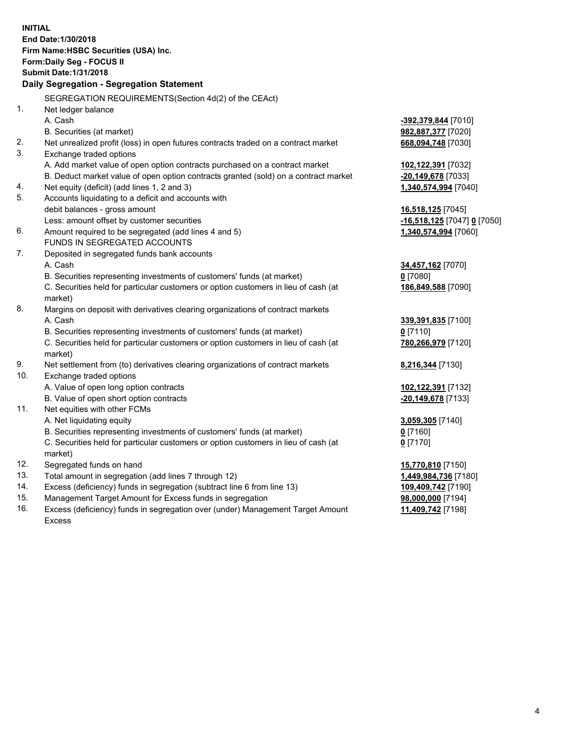**INITIAL End Date:1/30/2018 Firm Name:HSBC Securities (USA) Inc. Form:Daily Seg - FOCUS II Submit Date:1/31/2018 Daily Segregation - Segregation Statement** SEGREGATION REQUIREMENTS(Section 4d(2) of the CEAct) 1. Net ledger balance A. Cash **-392,379,844** [7010] B. Securities (at market) **982,887,377** [7020] 2. Net unrealized profit (loss) in open futures contracts traded on a contract market **668,094,748** [7030] 3. Exchange traded options A. Add market value of open option contracts purchased on a contract market **102,122,391** [7032] B. Deduct market value of open option contracts granted (sold) on a contract market **-20,149,678** [7033] 4. Net equity (deficit) (add lines 1, 2 and 3) **1,340,574,994** [7040] 5. Accounts liquidating to a deficit and accounts with debit balances - gross amount **16,518,125** [7045] Less: amount offset by customer securities **-16,518,125** [7047] **0** [7050] 6. Amount required to be segregated (add lines 4 and 5) **1,340,574,994** [7060] FUNDS IN SEGREGATED ACCOUNTS 7. Deposited in segregated funds bank accounts A. Cash **34,457,162** [7070] B. Securities representing investments of customers' funds (at market) **0** [7080] C. Securities held for particular customers or option customers in lieu of cash (at market) **186,849,588** [7090] 8. Margins on deposit with derivatives clearing organizations of contract markets A. Cash **339,391,835** [7100] B. Securities representing investments of customers' funds (at market) **0** [7110] C. Securities held for particular customers or option customers in lieu of cash (at market) **780,266,979** [7120] 9. Net settlement from (to) derivatives clearing organizations of contract markets **8,216,344** [7130] 10. Exchange traded options A. Value of open long option contracts **102,122,391** [7132] B. Value of open short option contracts **-20,149,678** [7133] 11. Net equities with other FCMs A. Net liquidating equity **3,059,305** [7140] B. Securities representing investments of customers' funds (at market) **0** [7160] C. Securities held for particular customers or option customers in lieu of cash (at market) **0** [7170] 12. Segregated funds on hand **15,770,810** [7150] 13. Total amount in segregation (add lines 7 through 12) **1,449,984,736** [7180] 14. Excess (deficiency) funds in segregation (subtract line 6 from line 13) **109,409,742** [7190] 15. Management Target Amount for Excess funds in segregation **98,000,000** [7194]

16. Excess (deficiency) funds in segregation over (under) Management Target Amount Excess

**11,409,742** [7198]